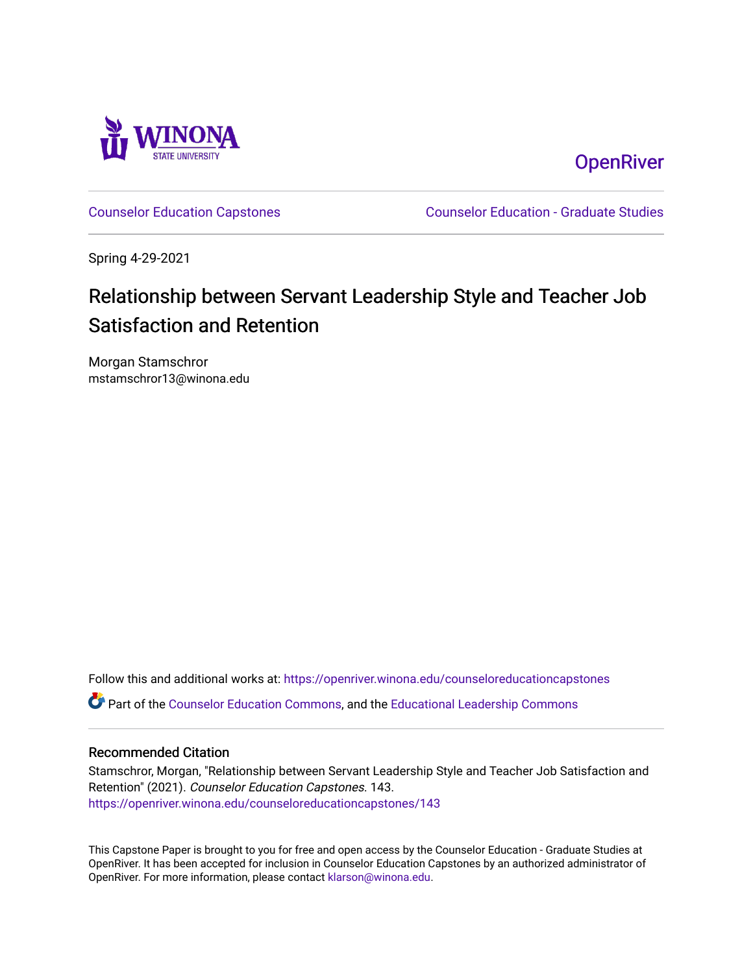

**OpenRiver** 

[Counselor Education Capstones](https://openriver.winona.edu/counseloreducationcapstones) [Counselor Education - Graduate Studies](https://openriver.winona.edu/counseloreducation) 

Spring 4-29-2021

# Relationship between Servant Leadership Style and Teacher Job Satisfaction and Retention

Morgan Stamschror mstamschror13@winona.edu

Follow this and additional works at: [https://openriver.winona.edu/counseloreducationcapstones](https://openriver.winona.edu/counseloreducationcapstones?utm_source=openriver.winona.edu%2Fcounseloreducationcapstones%2F143&utm_medium=PDF&utm_campaign=PDFCoverPages) Part of the [Counselor Education Commons,](http://network.bepress.com/hgg/discipline/1278?utm_source=openriver.winona.edu%2Fcounseloreducationcapstones%2F143&utm_medium=PDF&utm_campaign=PDFCoverPages) and the [Educational Leadership Commons](http://network.bepress.com/hgg/discipline/1230?utm_source=openriver.winona.edu%2Fcounseloreducationcapstones%2F143&utm_medium=PDF&utm_campaign=PDFCoverPages)

## Recommended Citation

Stamschror, Morgan, "Relationship between Servant Leadership Style and Teacher Job Satisfaction and Retention" (2021). Counselor Education Capstones. 143. [https://openriver.winona.edu/counseloreducationcapstones/143](https://openriver.winona.edu/counseloreducationcapstones/143?utm_source=openriver.winona.edu%2Fcounseloreducationcapstones%2F143&utm_medium=PDF&utm_campaign=PDFCoverPages)

This Capstone Paper is brought to you for free and open access by the Counselor Education - Graduate Studies at OpenRiver. It has been accepted for inclusion in Counselor Education Capstones by an authorized administrator of OpenRiver. For more information, please contact [klarson@winona.edu](mailto:klarson@winona.edu).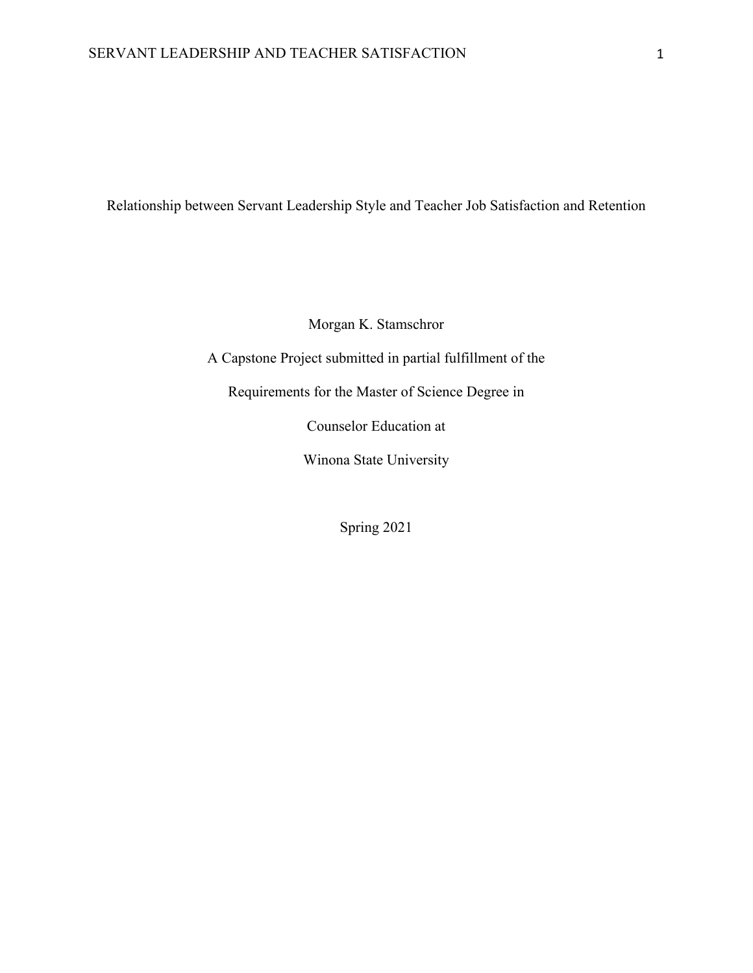Relationship between Servant Leadership Style and Teacher Job Satisfaction and Retention

Morgan K. Stamschror

A Capstone Project submitted in partial fulfillment of the

Requirements for the Master of Science Degree in

Counselor Education at

Winona State University

Spring 2021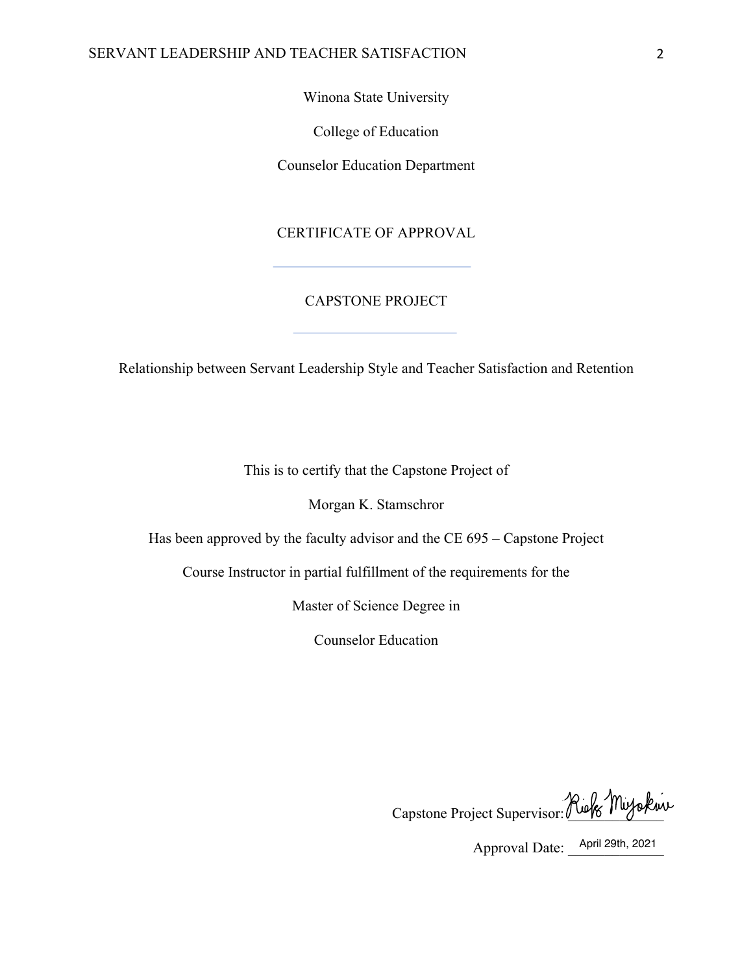Winona State University

College of Education

Counselor Education Department

# CERTIFICATE OF APPROVAL

## CAPSTONE PROJECT

Relationship between Servant Leadership Style and Teacher Satisfaction and Retention

This is to certify that the Capstone Project of

Morgan K. Stamschror

Has been approved by the faculty advisor and the CE 695 – Capstone Project

Course Instructor in partial fulfillment of the requirements for the

Master of Science Degree in

Counselor Education

Capstone Project Supervisor: Luke Muyokwi

Approval Date: <u>April 29th, 2021</u>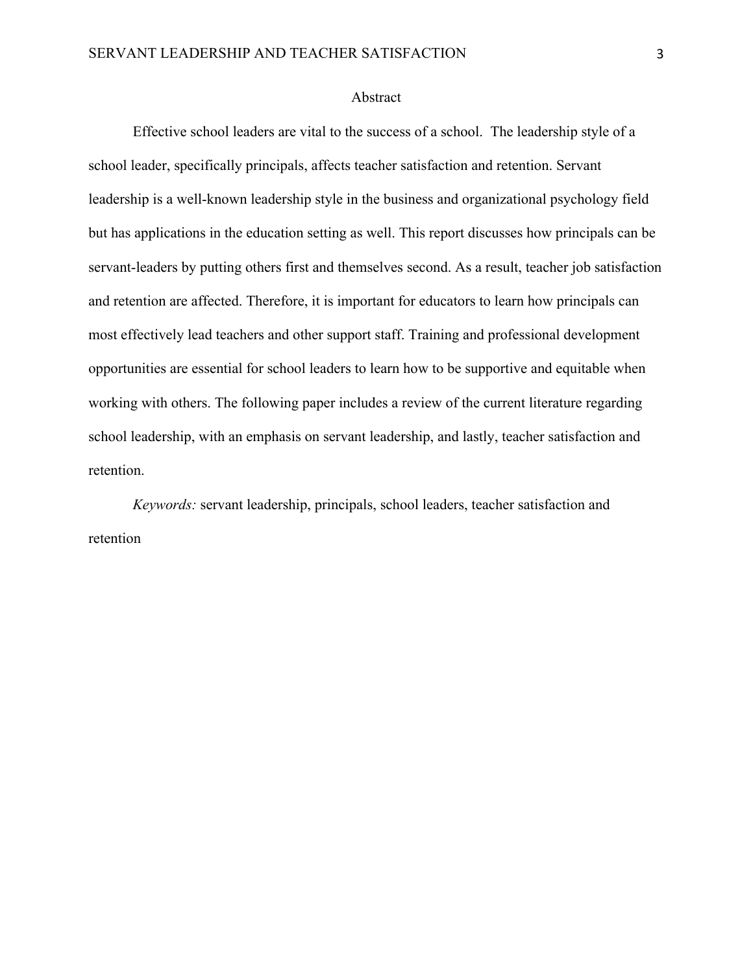#### Abstract

Effective school leaders are vital to the success of a school. The leadership style of a school leader, specifically principals, affects teacher satisfaction and retention. Servant leadership is a well-known leadership style in the business and organizational psychology field but has applications in the education setting as well. This report discusses how principals can be servant-leaders by putting others first and themselves second. As a result, teacher job satisfaction and retention are affected. Therefore, it is important for educators to learn how principals can most effectively lead teachers and other support staff. Training and professional development opportunities are essential for school leaders to learn how to be supportive and equitable when working with others. The following paper includes a review of the current literature regarding school leadership, with an emphasis on servant leadership, and lastly, teacher satisfaction and retention.

*Keywords:* servant leadership, principals, school leaders, teacher satisfaction and retention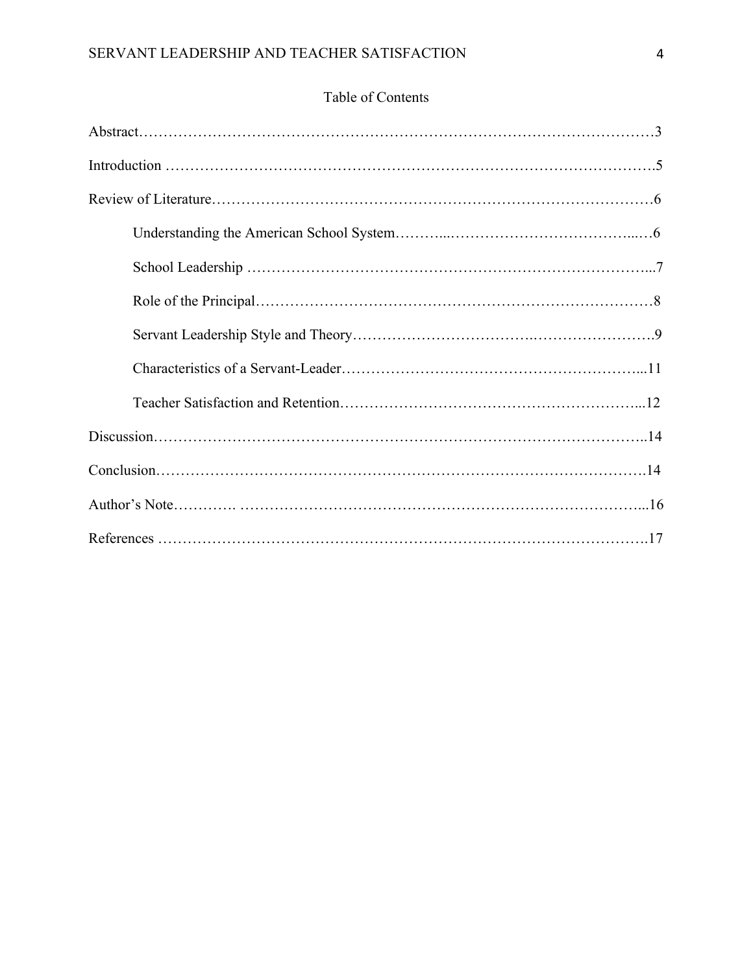# Table of Contents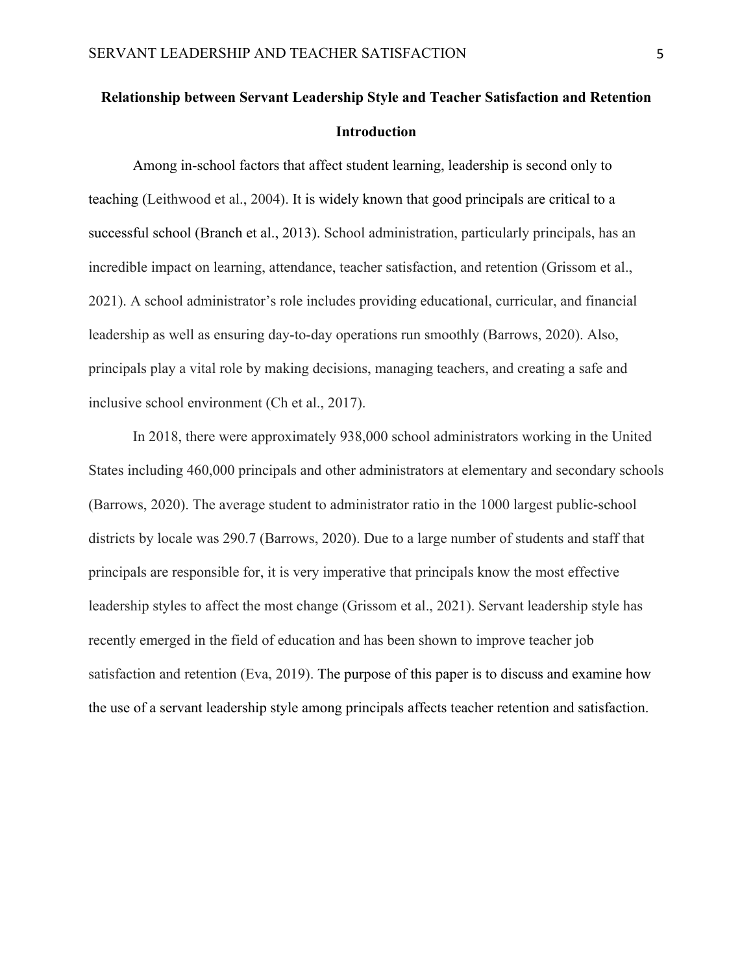# **Relationship between Servant Leadership Style and Teacher Satisfaction and Retention Introduction**

Among in-school factors that affect student learning, leadership is second only to teaching (Leithwood et al., 2004). It is widely known that good principals are critical to a successful school (Branch et al., 2013). School administration, particularly principals, has an incredible impact on learning, attendance, teacher satisfaction, and retention (Grissom et al., 2021). A school administrator's role includes providing educational, curricular, and financial leadership as well as ensuring day-to-day operations run smoothly (Barrows, 2020). Also, principals play a vital role by making decisions, managing teachers, and creating a safe and inclusive school environment (Ch et al., 2017).

In 2018, there were approximately 938,000 school administrators working in the United States including 460,000 principals and other administrators at elementary and secondary schools (Barrows, 2020). The average student to administrator ratio in the 1000 largest public-school districts by locale was 290.7 (Barrows, 2020). Due to a large number of students and staff that principals are responsible for, it is very imperative that principals know the most effective leadership styles to affect the most change (Grissom et al., 2021). Servant leadership style has recently emerged in the field of education and has been shown to improve teacher job satisfaction and retention (Eva, 2019). The purpose of this paper is to discuss and examine how the use of a servant leadership style among principals affects teacher retention and satisfaction.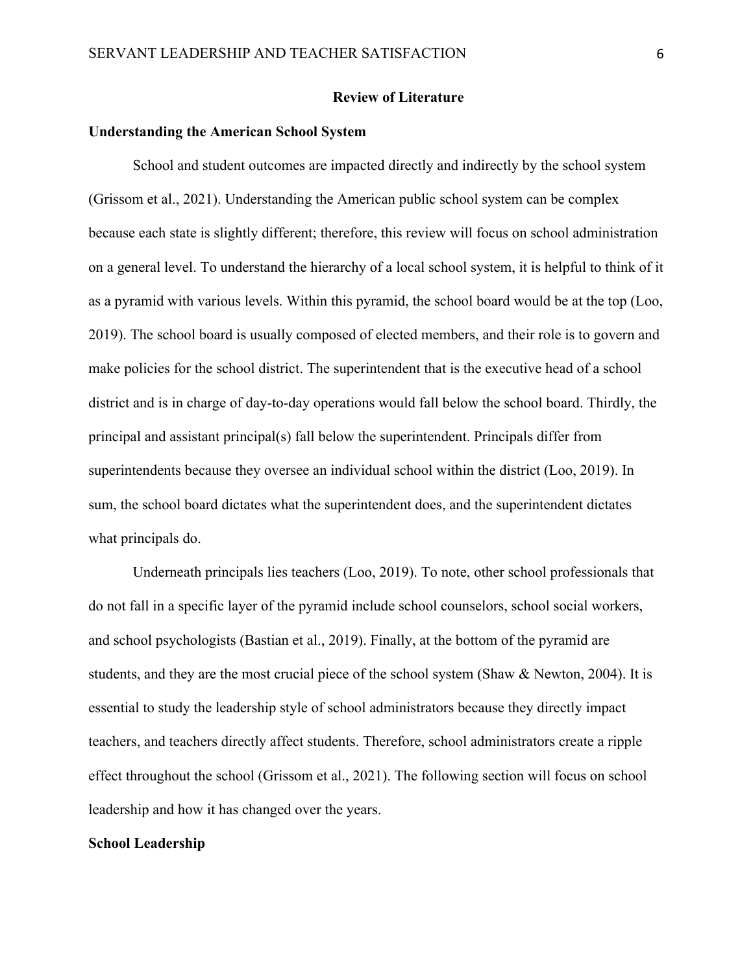#### **Review of Literature**

#### **Understanding the American School System**

School and student outcomes are impacted directly and indirectly by the school system (Grissom et al., 2021). Understanding the American public school system can be complex because each state is slightly different; therefore, this review will focus on school administration on a general level. To understand the hierarchy of a local school system, it is helpful to think of it as a pyramid with various levels. Within this pyramid, the school board would be at the top (Loo, 2019). The school board is usually composed of elected members, and their role is to govern and make policies for the school district. The superintendent that is the executive head of a school district and is in charge of day-to-day operations would fall below the school board. Thirdly, the principal and assistant principal(s) fall below the superintendent. Principals differ from superintendents because they oversee an individual school within the district (Loo, 2019). In sum, the school board dictates what the superintendent does, and the superintendent dictates what principals do.

Underneath principals lies teachers (Loo, 2019). To note, other school professionals that do not fall in a specific layer of the pyramid include school counselors, school social workers, and school psychologists (Bastian et al., 2019). Finally, at the bottom of the pyramid are students, and they are the most crucial piece of the school system (Shaw & Newton, 2004). It is essential to study the leadership style of school administrators because they directly impact teachers, and teachers directly affect students. Therefore, school administrators create a ripple effect throughout the school (Grissom et al., 2021). The following section will focus on school leadership and how it has changed over the years.

#### **School Leadership**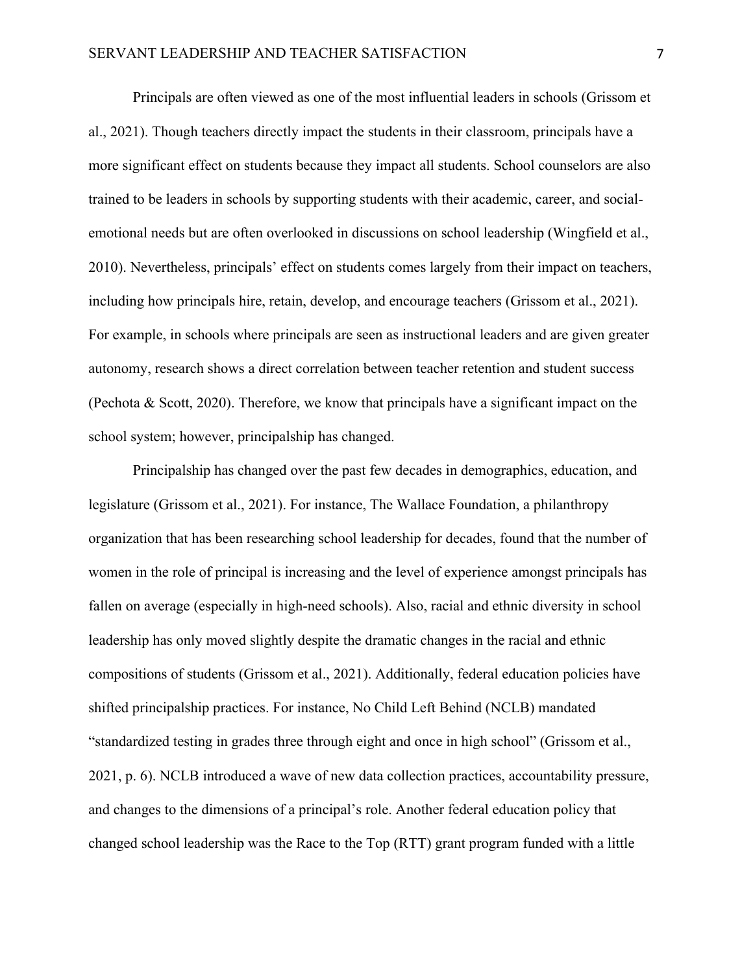Principals are often viewed as one of the most influential leaders in schools (Grissom et al., 2021). Though teachers directly impact the students in their classroom, principals have a more significant effect on students because they impact all students. School counselors are also trained to be leaders in schools by supporting students with their academic, career, and socialemotional needs but are often overlooked in discussions on school leadership (Wingfield et al., 2010). Nevertheless, principals' effect on students comes largely from their impact on teachers, including how principals hire, retain, develop, and encourage teachers (Grissom et al., 2021). For example, in schools where principals are seen as instructional leaders and are given greater autonomy, research shows a direct correlation between teacher retention and student success (Pechota & Scott, 2020). Therefore, we know that principals have a significant impact on the school system; however, principalship has changed.

Principalship has changed over the past few decades in demographics, education, and legislature (Grissom et al., 2021). For instance, The Wallace Foundation, a philanthropy organization that has been researching school leadership for decades, found that the number of women in the role of principal is increasing and the level of experience amongst principals has fallen on average (especially in high-need schools). Also, racial and ethnic diversity in school leadership has only moved slightly despite the dramatic changes in the racial and ethnic compositions of students (Grissom et al., 2021). Additionally, federal education policies have shifted principalship practices. For instance, No Child Left Behind (NCLB) mandated "standardized testing in grades three through eight and once in high school" (Grissom et al., 2021, p. 6). NCLB introduced a wave of new data collection practices, accountability pressure, and changes to the dimensions of a principal's role. Another federal education policy that changed school leadership was the Race to the Top (RTT) grant program funded with a little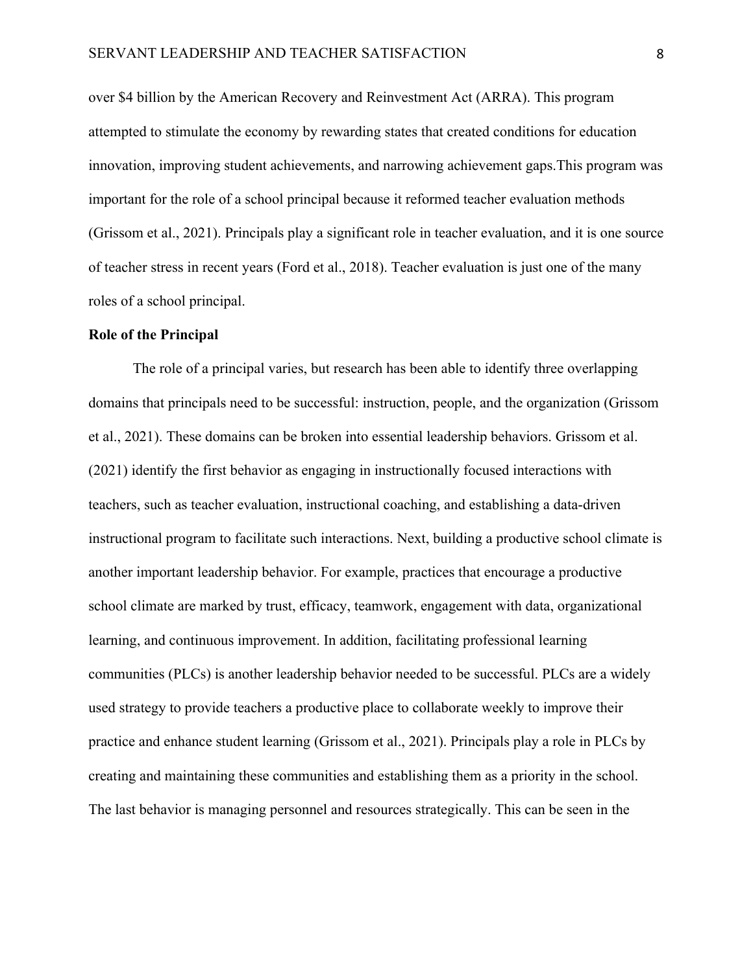over \$4 billion by the American Recovery and Reinvestment Act (ARRA). This program attempted to stimulate the economy by rewarding states that created conditions for education innovation, improving student achievements, and narrowing achievement gaps.This program was important for the role of a school principal because it reformed teacher evaluation methods (Grissom et al., 2021). Principals play a significant role in teacher evaluation, and it is one source of teacher stress in recent years (Ford et al., 2018). Teacher evaluation is just one of the many roles of a school principal.

#### **Role of the Principal**

The role of a principal varies, but research has been able to identify three overlapping domains that principals need to be successful: instruction, people, and the organization (Grissom et al., 2021). These domains can be broken into essential leadership behaviors. Grissom et al. (2021) identify the first behavior as engaging in instructionally focused interactions with teachers, such as teacher evaluation, instructional coaching, and establishing a data-driven instructional program to facilitate such interactions. Next, building a productive school climate is another important leadership behavior. For example, practices that encourage a productive school climate are marked by trust, efficacy, teamwork, engagement with data, organizational learning, and continuous improvement. In addition, facilitating professional learning communities (PLCs) is another leadership behavior needed to be successful. PLCs are a widely used strategy to provide teachers a productive place to collaborate weekly to improve their practice and enhance student learning (Grissom et al., 2021). Principals play a role in PLCs by creating and maintaining these communities and establishing them as a priority in the school. The last behavior is managing personnel and resources strategically. This can be seen in the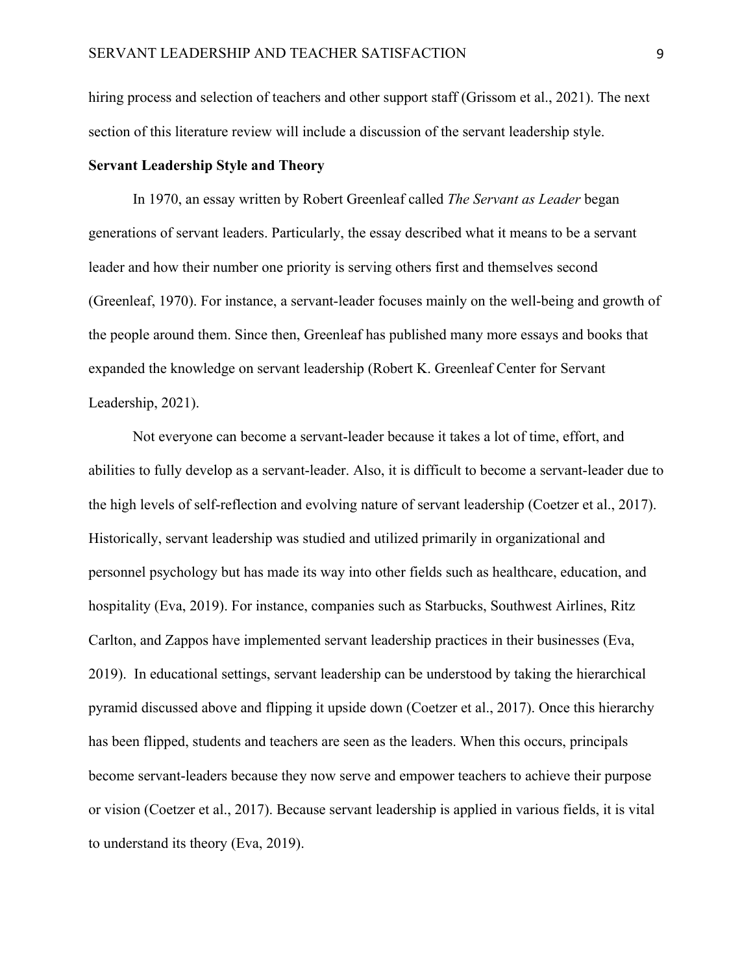hiring process and selection of teachers and other support staff (Grissom et al., 2021). The next section of this literature review will include a discussion of the servant leadership style.

#### **Servant Leadership Style and Theory**

In 1970, an essay written by Robert Greenleaf called *The Servant as Leader* began generations of servant leaders. Particularly, the essay described what it means to be a servant leader and how their number one priority is serving others first and themselves second (Greenleaf, 1970). For instance, a servant-leader focuses mainly on the well-being and growth of the people around them. Since then, Greenleaf has published many more essays and books that expanded the knowledge on servant leadership (Robert K. Greenleaf Center for Servant Leadership, 2021).

Not everyone can become a servant-leader because it takes a lot of time, effort, and abilities to fully develop as a servant-leader. Also, it is difficult to become a servant-leader due to the high levels of self-reflection and evolving nature of servant leadership (Coetzer et al., 2017). Historically, servant leadership was studied and utilized primarily in organizational and personnel psychology but has made its way into other fields such as healthcare, education, and hospitality (Eva, 2019). For instance, companies such as Starbucks, Southwest Airlines, Ritz Carlton, and Zappos have implemented servant leadership practices in their businesses (Eva, 2019). In educational settings, servant leadership can be understood by taking the hierarchical pyramid discussed above and flipping it upside down (Coetzer et al., 2017). Once this hierarchy has been flipped, students and teachers are seen as the leaders. When this occurs, principals become servant-leaders because they now serve and empower teachers to achieve their purpose or vision (Coetzer et al., 2017). Because servant leadership is applied in various fields, it is vital to understand its theory (Eva, 2019).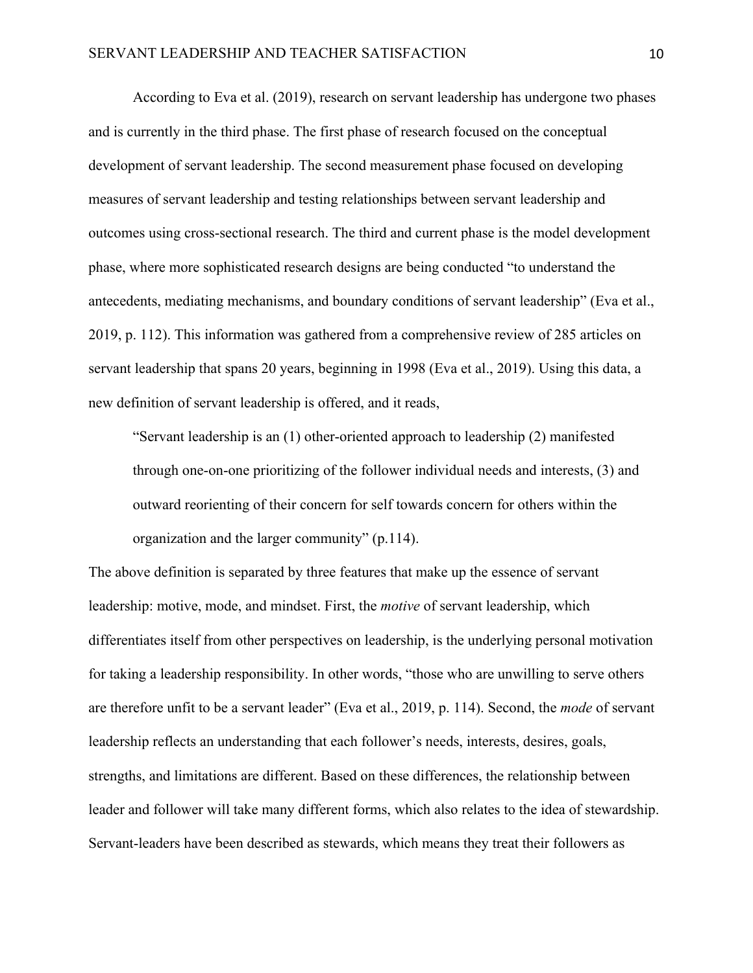According to Eva et al. (2019), research on servant leadership has undergone two phases and is currently in the third phase. The first phase of research focused on the conceptual development of servant leadership. The second measurement phase focused on developing measures of servant leadership and testing relationships between servant leadership and outcomes using cross-sectional research. The third and current phase is the model development phase, where more sophisticated research designs are being conducted "to understand the antecedents, mediating mechanisms, and boundary conditions of servant leadership" (Eva et al., 2019, p. 112). This information was gathered from a comprehensive review of 285 articles on servant leadership that spans 20 years, beginning in 1998 (Eva et al., 2019). Using this data, a new definition of servant leadership is offered, and it reads,

"Servant leadership is an (1) other-oriented approach to leadership (2) manifested through one-on-one prioritizing of the follower individual needs and interests, (3) and outward reorienting of their concern for self towards concern for others within the organization and the larger community" (p.114).

The above definition is separated by three features that make up the essence of servant leadership: motive, mode, and mindset. First, the *motive* of servant leadership, which differentiates itself from other perspectives on leadership, is the underlying personal motivation for taking a leadership responsibility. In other words, "those who are unwilling to serve others are therefore unfit to be a servant leader" (Eva et al., 2019, p. 114). Second, the *mode* of servant leadership reflects an understanding that each follower's needs, interests, desires, goals, strengths, and limitations are different. Based on these differences, the relationship between leader and follower will take many different forms, which also relates to the idea of stewardship. Servant-leaders have been described as stewards, which means they treat their followers as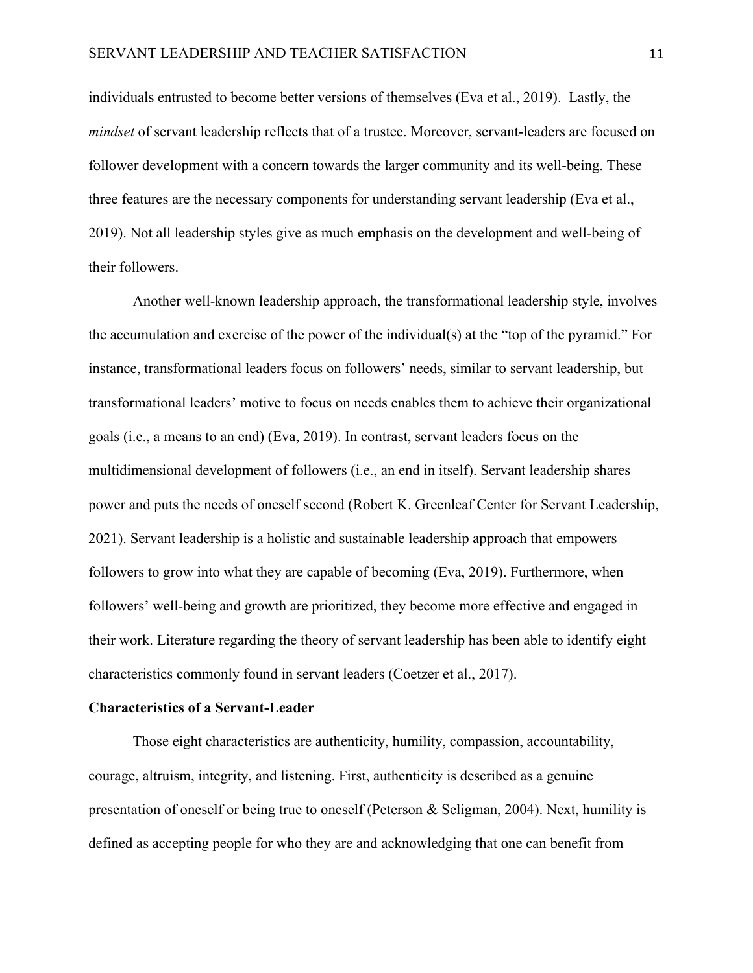individuals entrusted to become better versions of themselves (Eva et al., 2019). Lastly, the *mindset* of servant leadership reflects that of a trustee. Moreover, servant-leaders are focused on follower development with a concern towards the larger community and its well-being. These three features are the necessary components for understanding servant leadership (Eva et al., 2019). Not all leadership styles give as much emphasis on the development and well-being of their followers.

Another well-known leadership approach, the transformational leadership style, involves the accumulation and exercise of the power of the individual(s) at the "top of the pyramid." For instance, transformational leaders focus on followers' needs, similar to servant leadership, but transformational leaders' motive to focus on needs enables them to achieve their organizational goals (i.e., a means to an end) (Eva, 2019). In contrast, servant leaders focus on the multidimensional development of followers (i.e., an end in itself). Servant leadership shares power and puts the needs of oneself second (Robert K. Greenleaf Center for Servant Leadership, 2021). Servant leadership is a holistic and sustainable leadership approach that empowers followers to grow into what they are capable of becoming (Eva, 2019). Furthermore, when followers' well-being and growth are prioritized, they become more effective and engaged in their work. Literature regarding the theory of servant leadership has been able to identify eight characteristics commonly found in servant leaders (Coetzer et al., 2017).

#### **Characteristics of a Servant-Leader**

Those eight characteristics are authenticity, humility, compassion, accountability, courage, altruism, integrity, and listening. First, authenticity is described as a genuine presentation of oneself or being true to oneself (Peterson & Seligman, 2004). Next, humility is defined as accepting people for who they are and acknowledging that one can benefit from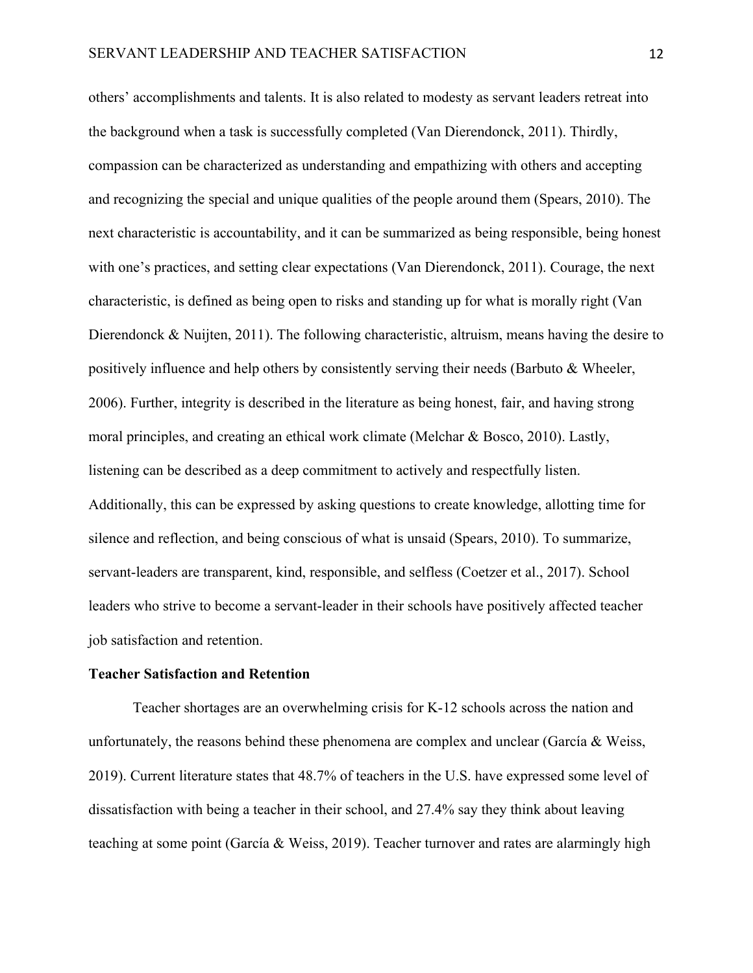others' accomplishments and talents. It is also related to modesty as servant leaders retreat into the background when a task is successfully completed (Van Dierendonck, 2011). Thirdly, compassion can be characterized as understanding and empathizing with others and accepting and recognizing the special and unique qualities of the people around them (Spears, 2010). The next characteristic is accountability, and it can be summarized as being responsible, being honest with one's practices, and setting clear expectations (Van Dierendonck, 2011). Courage, the next characteristic, is defined as being open to risks and standing up for what is morally right (Van Dierendonck & Nuijten, 2011). The following characteristic, altruism, means having the desire to positively influence and help others by consistently serving their needs (Barbuto & Wheeler, 2006). Further, integrity is described in the literature as being honest, fair, and having strong moral principles, and creating an ethical work climate (Melchar & Bosco, 2010). Lastly, listening can be described as a deep commitment to actively and respectfully listen. Additionally, this can be expressed by asking questions to create knowledge, allotting time for silence and reflection, and being conscious of what is unsaid (Spears, 2010). To summarize, servant-leaders are transparent, kind, responsible, and selfless (Coetzer et al., 2017). School leaders who strive to become a servant-leader in their schools have positively affected teacher job satisfaction and retention.

#### **Teacher Satisfaction and Retention**

Teacher shortages are an overwhelming crisis for K-12 schools across the nation and unfortunately, the reasons behind these phenomena are complex and unclear (García & Weiss, 2019). Current literature states that 48.7% of teachers in the U.S. have expressed some level of dissatisfaction with being a teacher in their school, and 27.4% say they think about leaving teaching at some point (García & Weiss, 2019). Teacher turnover and rates are alarmingly high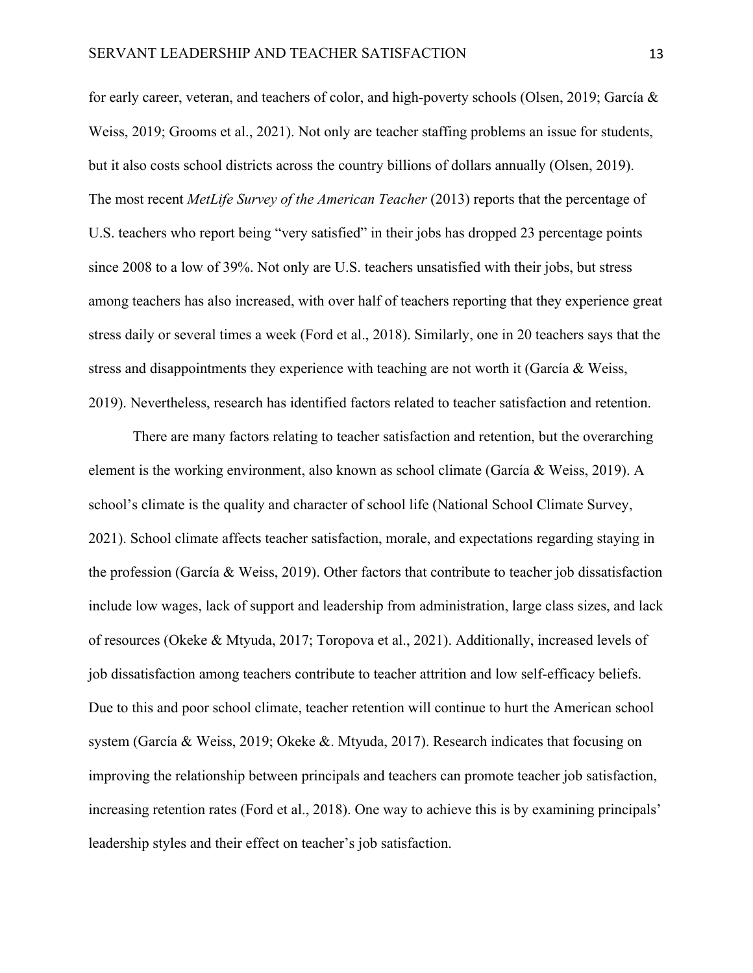for early career, veteran, and teachers of color, and high-poverty schools (Olsen, 2019; García & Weiss, 2019; Grooms et al., 2021). Not only are teacher staffing problems an issue for students, but it also costs school districts across the country billions of dollars annually (Olsen, 2019). The most recent *MetLife Survey of the American Teacher* (2013) reports that the percentage of U.S. teachers who report being "very satisfied" in their jobs has dropped 23 percentage points since 2008 to a low of 39%. Not only are U.S. teachers unsatisfied with their jobs, but stress among teachers has also increased, with over half of teachers reporting that they experience great stress daily or several times a week (Ford et al., 2018). Similarly, one in 20 teachers says that the stress and disappointments they experience with teaching are not worth it (García & Weiss, 2019). Nevertheless, research has identified factors related to teacher satisfaction and retention.

There are many factors relating to teacher satisfaction and retention, but the overarching element is the working environment, also known as school climate (García & Weiss, 2019). A school's climate is the quality and character of school life (National School Climate Survey, 2021). School climate affects teacher satisfaction, morale, and expectations regarding staying in the profession (García & Weiss, 2019). Other factors that contribute to teacher job dissatisfaction include low wages, lack of support and leadership from administration, large class sizes, and lack of resources (Okeke & Mtyuda, 2017; Toropova et al., 2021). Additionally, increased levels of job dissatisfaction among teachers contribute to teacher attrition and low self-efficacy beliefs. Due to this and poor school climate, teacher retention will continue to hurt the American school system (García & Weiss, 2019; Okeke &. Mtyuda, 2017). Research indicates that focusing on improving the relationship between principals and teachers can promote teacher job satisfaction, increasing retention rates (Ford et al., 2018). One way to achieve this is by examining principals' leadership styles and their effect on teacher's job satisfaction.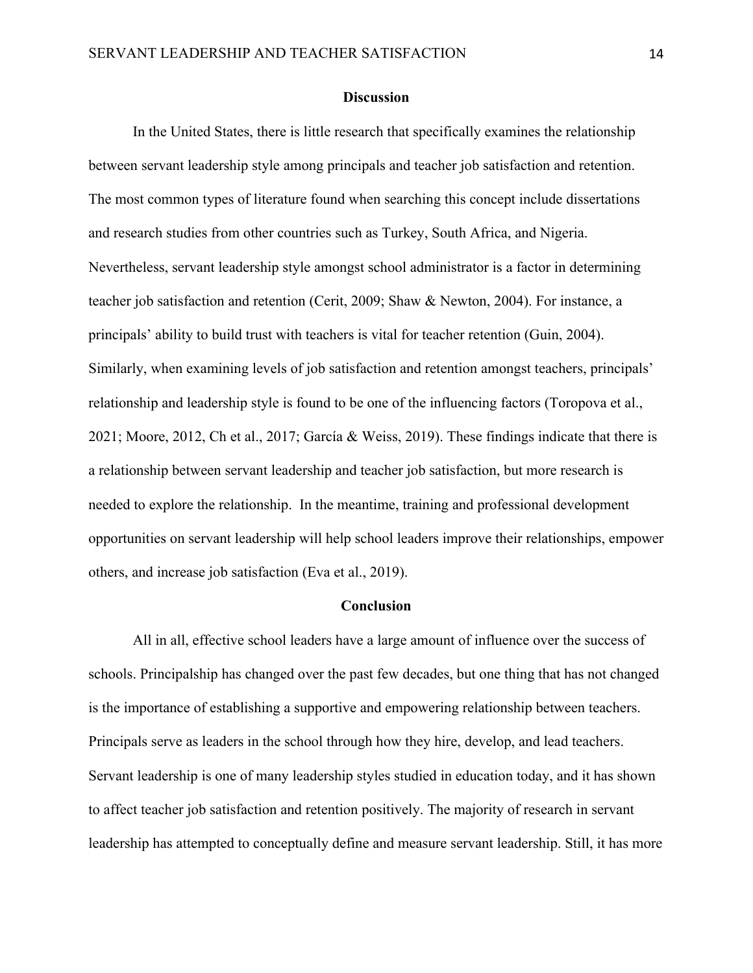#### **Discussion**

In the United States, there is little research that specifically examines the relationship between servant leadership style among principals and teacher job satisfaction and retention. The most common types of literature found when searching this concept include dissertations and research studies from other countries such as Turkey, South Africa, and Nigeria. Nevertheless, servant leadership style amongst school administrator is a factor in determining teacher job satisfaction and retention (Cerit, 2009; Shaw & Newton, 2004). For instance, a principals' ability to build trust with teachers is vital for teacher retention (Guin, 2004). Similarly, when examining levels of job satisfaction and retention amongst teachers, principals' relationship and leadership style is found to be one of the influencing factors (Toropova et al., 2021; Moore, 2012, Ch et al., 2017; García & Weiss, 2019). These findings indicate that there is a relationship between servant leadership and teacher job satisfaction, but more research is needed to explore the relationship. In the meantime, training and professional development opportunities on servant leadership will help school leaders improve their relationships, empower others, and increase job satisfaction (Eva et al., 2019).

#### **Conclusion**

All in all, effective school leaders have a large amount of influence over the success of schools. Principalship has changed over the past few decades, but one thing that has not changed is the importance of establishing a supportive and empowering relationship between teachers. Principals serve as leaders in the school through how they hire, develop, and lead teachers. Servant leadership is one of many leadership styles studied in education today, and it has shown to affect teacher job satisfaction and retention positively. The majority of research in servant leadership has attempted to conceptually define and measure servant leadership. Still, it has more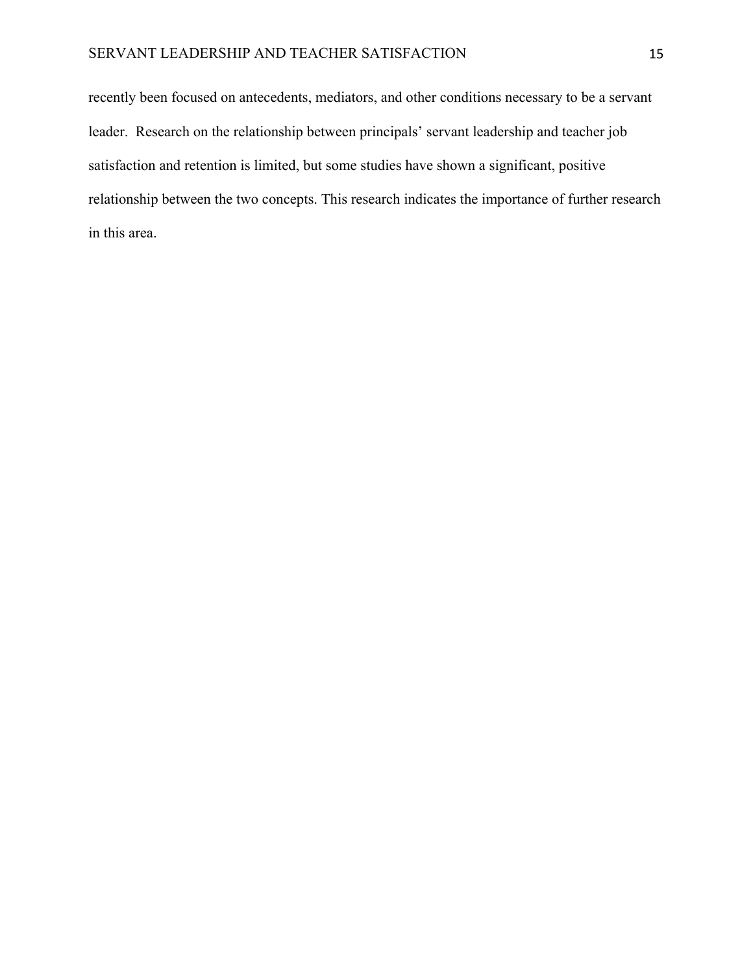recently been focused on antecedents, mediators, and other conditions necessary to be a servant leader. Research on the relationship between principals' servant leadership and teacher job satisfaction and retention is limited, but some studies have shown a significant, positive relationship between the two concepts. This research indicates the importance of further research in this area.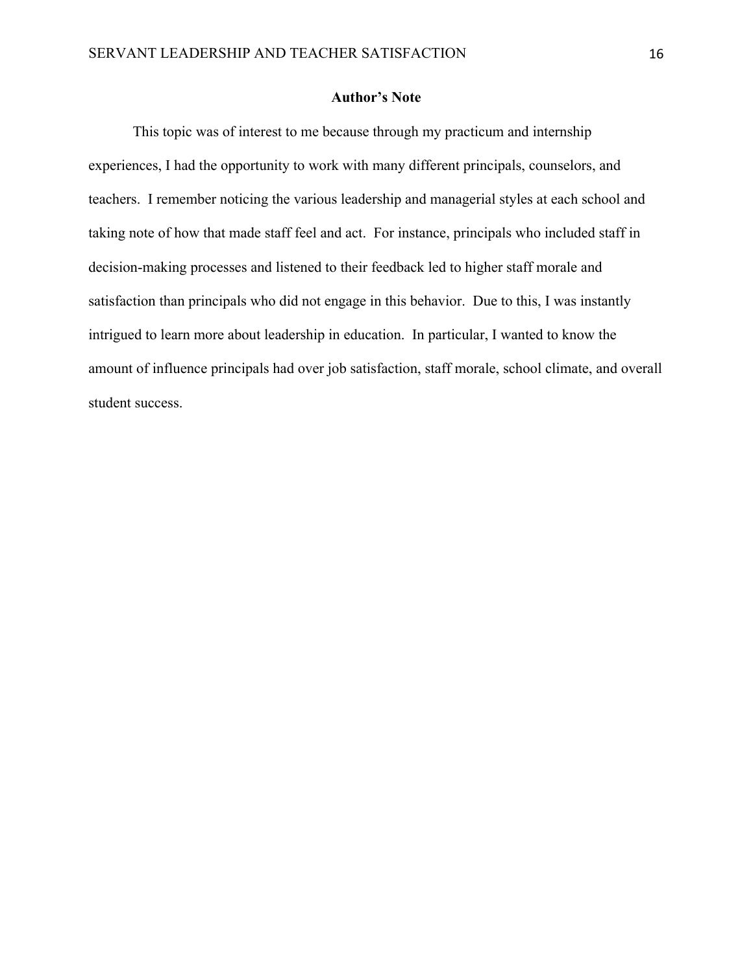### **Author's Note**

This topic was of interest to me because through my practicum and internship experiences, I had the opportunity to work with many different principals, counselors, and teachers. I remember noticing the various leadership and managerial styles at each school and taking note of how that made staff feel and act. For instance, principals who included staff in decision-making processes and listened to their feedback led to higher staff morale and satisfaction than principals who did not engage in this behavior. Due to this, I was instantly intrigued to learn more about leadership in education. In particular, I wanted to know the amount of influence principals had over job satisfaction, staff morale, school climate, and overall student success.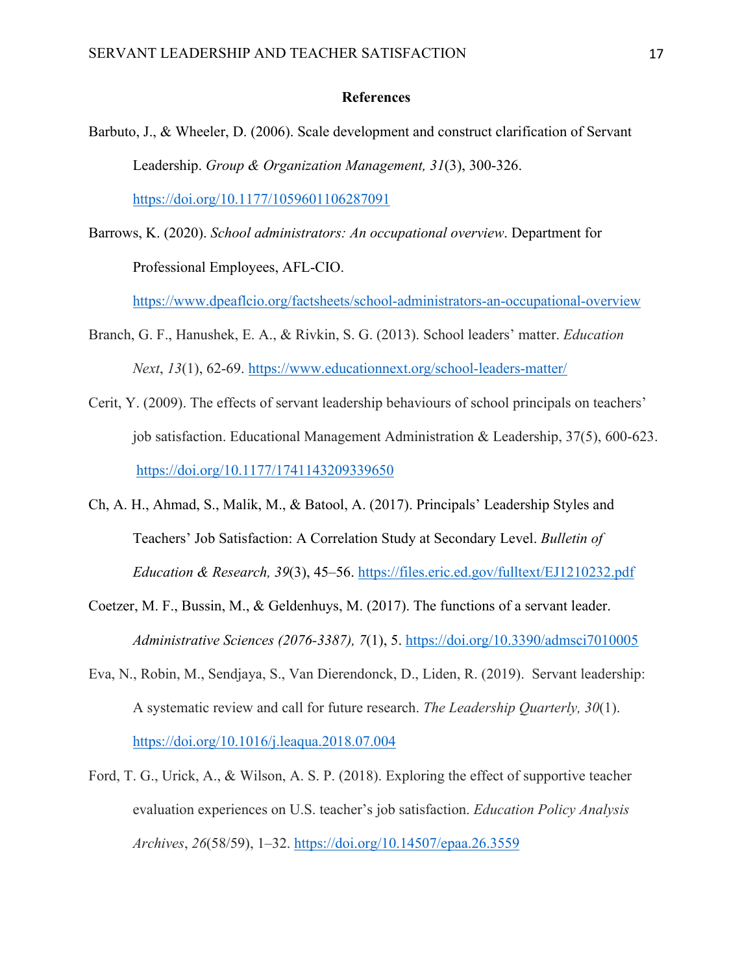#### **References**

- Barbuto, J., & Wheeler, D. (2006). Scale development and construct clarification of Servant Leadership. *Group & Organization Management, 31*(3), 300-326. https://doi.org/10.1177/1059601106287091
- Barrows, K. (2020). *School administrators: An occupational overview*. Department for Professional Employees, AFL-CIO.

https://www.dpeaflcio.org/factsheets/school-administrators-an-occupational-overview

- Branch, G. F., Hanushek, E. A., & Rivkin, S. G. (2013). School leaders' matter. *Education Next*, *13*(1), 62-69. https://www.educationnext.org/school-leaders-matter/
- Cerit, Y. (2009). The effects of servant leadership behaviours of school principals on teachers' job satisfaction. Educational Management Administration & Leadership, 37(5), 600-623. https://doi.org/10.1177/1741143209339650
- Ch, A. H., Ahmad, S., Malik, M., & Batool, A. (2017). Principals' Leadership Styles and Teachers' Job Satisfaction: A Correlation Study at Secondary Level. *Bulletin of Education & Research, 39*(3), 45–56. https://files.eric.ed.gov/fulltext/EJ1210232.pdf
- Coetzer, M. F., Bussin, M., & Geldenhuys, M. (2017). The functions of a servant leader. *Administrative Sciences (2076-3387), 7*(1), 5. https://doi.org/10.3390/admsci7010005
- Eva, N., Robin, M., Sendjaya, S., Van Dierendonck, D., Liden, R. (2019). Servant leadership: A systematic review and call for future research. *The Leadership Quarterly, 30*(1). https://doi.org/10.1016/j.leaqua.2018.07.004
- Ford, T. G., Urick, A., & Wilson, A. S. P. (2018). Exploring the effect of supportive teacher evaluation experiences on U.S. teacher's job satisfaction. *Education Policy Analysis Archives*, *26*(58/59), 1–32. https://doi.org/10.14507/epaa.26.3559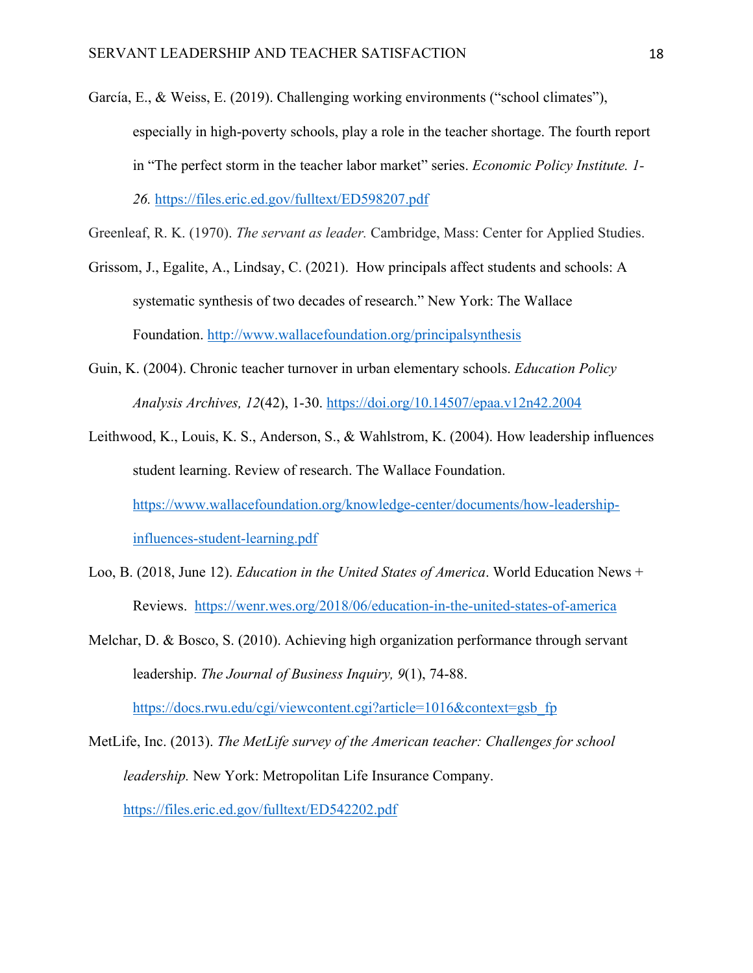García, E., & Weiss, E. (2019). Challenging working environments ("school climates"), especially in high-poverty schools, play a role in the teacher shortage. The fourth report in "The perfect storm in the teacher labor market" series. *Economic Policy Institute. 1- 26.* https://files.eric.ed.gov/fulltext/ED598207.pdf

Greenleaf, R. K. (1970). *The servant as leader.* Cambridge, Mass: Center for Applied Studies.

- Grissom, J., Egalite, A., Lindsay, C. (2021). How principals affect students and schools: A systematic synthesis of two decades of research." New York: The Wallace Foundation. http://www.wallacefoundation.org/principalsynthesis
- Guin, K. (2004). Chronic teacher turnover in urban elementary schools. *Education Policy Analysis Archives, 12*(42), 1-30. https://doi.org/10.14507/epaa.v12n42.2004
- Leithwood, K., Louis, K. S., Anderson, S., & Wahlstrom, K. (2004). How leadership influences student learning. Review of research. The Wallace Foundation. https://www.wallacefoundation.org/knowledge-center/documents/how-leadershipinfluences-student-learning.pdf
- Loo, B. (2018, June 12). *Education in the United States of America*. World Education News + Reviews. https://wenr.wes.org/2018/06/education-in-the-united-states-of-america
- Melchar, D. & Bosco, S. (2010). Achieving high organization performance through servant leadership. *The Journal of Business Inquiry, 9*(1), 74-88. https://docs.rwu.edu/cgi/viewcontent.cgi?article=1016&context=gsb\_fp

MetLife, Inc. (2013). *The MetLife survey of the American teacher: Challenges for school leadership.* New York: Metropolitan Life Insurance Company. https://files.eric.ed.gov/fulltext/ED542202.pdf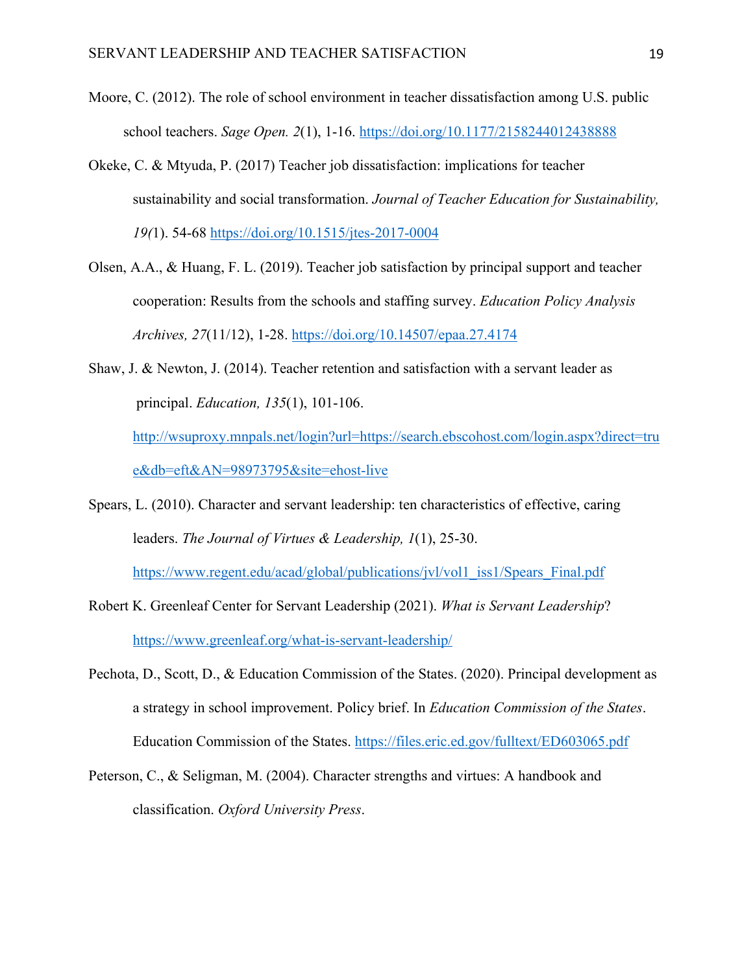- Moore, C. (2012). The role of school environment in teacher dissatisfaction among U.S. public school teachers. *Sage Open. 2*(1), 1-16. https://doi.org/10.1177/2158244012438888
- Okeke, C. & Mtyuda, P. (2017) Teacher job dissatisfaction: implications for teacher sustainability and social transformation. *Journal of Teacher Education for Sustainability, 19(*1). 54-68 https://doi.org/10.1515/jtes-2017-0004
- Olsen, A.A., & Huang, F. L. (2019). Teacher job satisfaction by principal support and teacher cooperation: Results from the schools and staffing survey. *Education Policy Analysis Archives, 27*(11/12), 1-28. https://doi.org/10.14507/epaa.27.4174
- Shaw, J. & Newton, J. (2014). Teacher retention and satisfaction with a servant leader as principal. *Education, 135*(1), 101-106.

http://wsuproxy.mnpals.net/login?url=https://search.ebscohost.com/login.aspx?direct=tru e&db=eft&AN=98973795&site=ehost-live

Spears, L. (2010). Character and servant leadership: ten characteristics of effective, caring leaders. *The Journal of Virtues & Leadership, 1*(1), 25-30.

https://www.regent.edu/acad/global/publications/jvl/vol1\_iss1/Spears\_Final.pdf

- Robert K. Greenleaf Center for Servant Leadership (2021). *What is Servant Leadership*? https://www.greenleaf.org/what-is-servant-leadership/
- Pechota, D., Scott, D., & Education Commission of the States. (2020). Principal development as a strategy in school improvement. Policy brief. In *Education Commission of the States*. Education Commission of the States. https://files.eric.ed.gov/fulltext/ED603065.pdf
- Peterson, C., & Seligman, M. (2004). Character strengths and virtues: A handbook and classification. *Oxford University Press*.